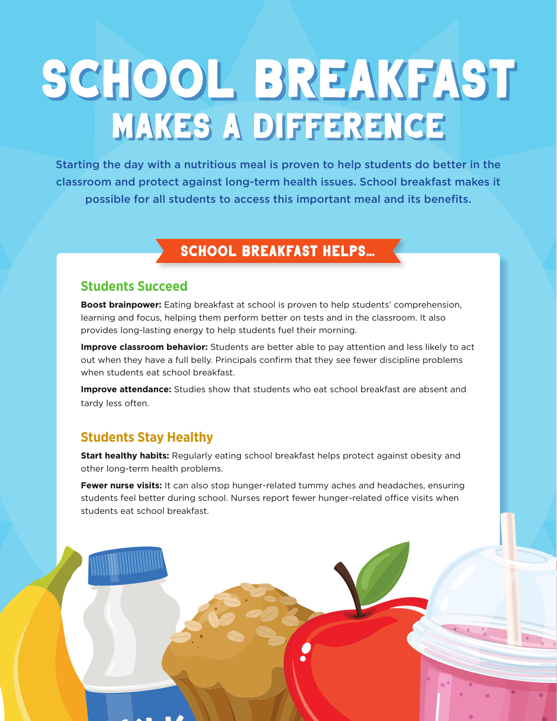# school breakfast makes a difference

Starting the day with a nutritious meal is proven to help students do better in the classroom and protect against long-term health issues. School breakfast makes it possible for all students to access this important meal and its benefits.

## school breakfast helps…

#### **Students Succeed**

**Boost brainpower:** Eating breakfast at school is proven to help students' comprehension, learning and focus, helping them perform better on tests and in the classroom. It also provides long-lasting energy to help students fuel their morning.

**Improve classroom behavior:** Students are better able to pay attention and less likely to act out when they have a full belly. Principals confirm that they see fewer discipline problems when students eat school breakfast.

**Improve attendance:** Studies show that students who eat school breakfast are absent and tardy less often.

### **Students Stay Healthy**

**Start healthy habits:** Regularly eating school breakfast helps protect against obesity and other long-term health problems.

**Fewer nurse visits:** It can also stop hunger-related tummy aches and headaches, ensuring students feel better during school. Nurses report fewer hunger-related office visits when students eat school breakfast.